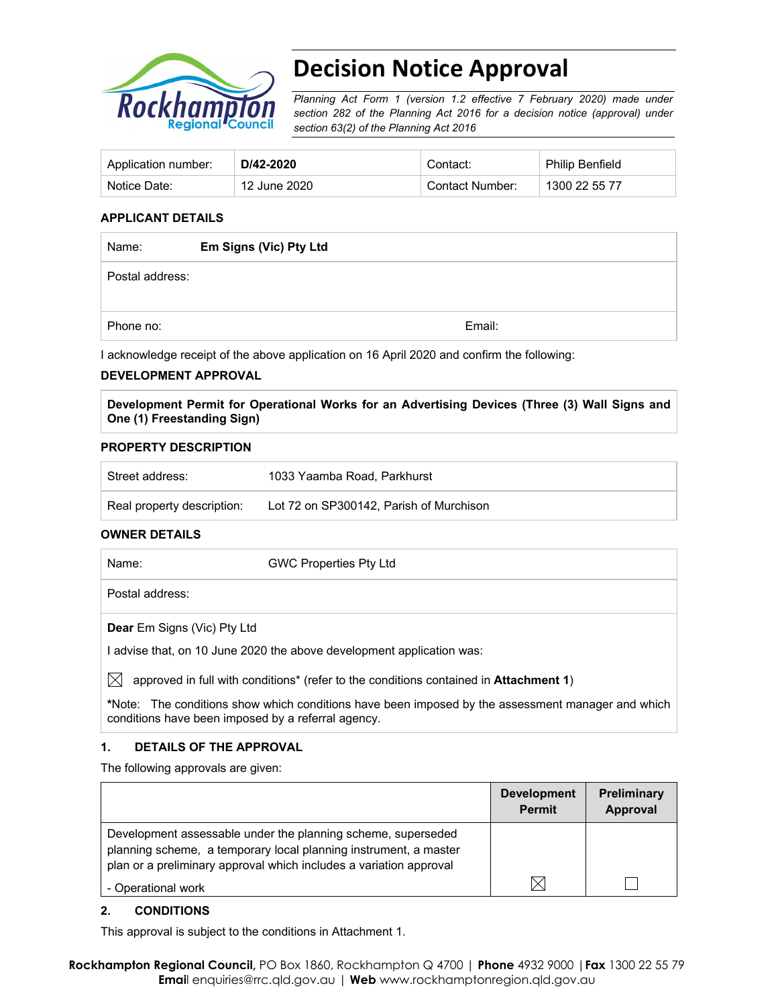

# **Decision Notice Approval**

*Planning Act Form 1 (version 1.2 effective 7 February 2020) made under section 282 of the Planning Act 2016 for a decision notice (approval) under section 63(2) of the Planning Act 2016*

| Application number: | D/42-2020    | Contact:        | <b>Philip Benfield</b> |
|---------------------|--------------|-----------------|------------------------|
| Notice Date:        | 12 June 2020 | Contact Number: | 1300 22 55 77          |

#### **APPLICANT DETAILS**

| Name:           | Em Signs (Vic) Pty Ltd |        |
|-----------------|------------------------|--------|
| Postal address: |                        |        |
|                 |                        |        |
| Phone no:       |                        | Email: |

I acknowledge receipt of the above application on 16 April 2020 and confirm the following:

#### **DEVELOPMENT APPROVAL**

**Development Permit for Operational Works for an Advertising Devices (Three (3) Wall Signs and One (1) Freestanding Sign)** 

#### **PROPERTY DESCRIPTION**

| Street address:            | 1033 Yaamba Road, Parkhurst             |
|----------------------------|-----------------------------------------|
| Real property description: | Lot 72 on SP300142. Parish of Murchison |

#### **OWNER DETAILS**

| Name:                              | <b>GWC Properties Pty Ltd</b>                                         |
|------------------------------------|-----------------------------------------------------------------------|
| Postal address:                    |                                                                       |
| <b>Dear</b> Em Signs (Vic) Pty Ltd |                                                                       |
|                                    | I advise that, on 10 June 2020 the above development application was: |

 $\boxtimes$  approved in full with conditions<sup>\*</sup> (refer to the conditions contained in **Attachment 1**)

**\***Note:The conditions show which conditions have been imposed by the assessment manager and which conditions have been imposed by a referral agency.

#### **1. DETAILS OF THE APPROVAL**

The following approvals are given:

|                                                                                                                                                                                                        | <b>Development</b><br><b>Permit</b> | <b>Preliminary</b><br>Approval |
|--------------------------------------------------------------------------------------------------------------------------------------------------------------------------------------------------------|-------------------------------------|--------------------------------|
| Development assessable under the planning scheme, superseded<br>planning scheme, a temporary local planning instrument, a master<br>plan or a preliminary approval which includes a variation approval |                                     |                                |
| - Operational work                                                                                                                                                                                     | IX                                  |                                |

#### **2. CONDITIONS**

This approval is subject to the conditions in Attachment 1.

**Rockhampton Regional Council,** PO Box 1860, Rockhampton Q 4700 | **Phone** 4932 9000 |**Fax** 1300 22 55 79 **Emai**l enquiries@rrc.qld.gov.au | **Web** www.rockhamptonregion.qld.gov.au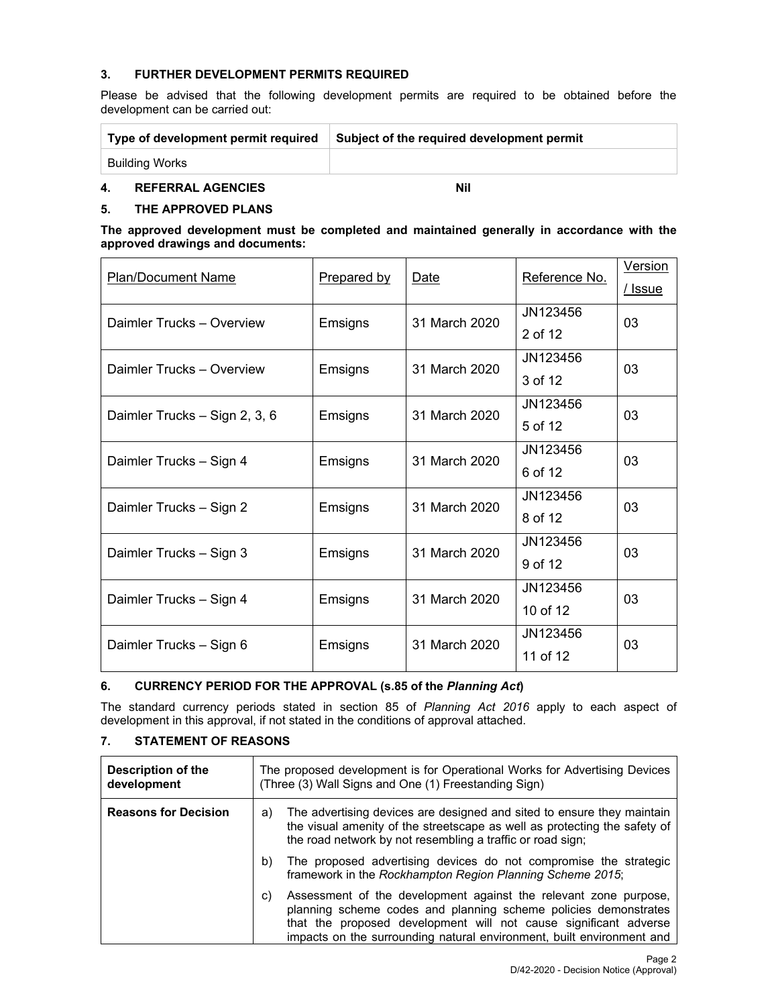#### **3. FURTHER DEVELOPMENT PERMITS REQUIRED**

Please be advised that the following development permits are required to be obtained before the development can be carried out:

| Type of development permit required | Subject of the required development permit |  |  |
|-------------------------------------|--------------------------------------------|--|--|
| Building Works                      |                                            |  |  |
|                                     |                                            |  |  |

# **4. REFERRAL AGENCIES Nil**

#### **5. THE APPROVED PLANS**

**The approved development must be completed and maintained generally in accordance with the approved drawings and documents:** 

|         |                                                                |                                                                          | <b>Version</b> |  |
|---------|----------------------------------------------------------------|--------------------------------------------------------------------------|----------------|--|
|         |                                                                |                                                                          | / Issue        |  |
|         |                                                                | JN123456                                                                 | 03             |  |
|         |                                                                | 2 of 12                                                                  |                |  |
|         |                                                                | JN123456                                                                 | 03             |  |
|         |                                                                | 3 of 12                                                                  |                |  |
|         |                                                                | JN123456                                                                 | 03             |  |
|         |                                                                | 5 of 12                                                                  |                |  |
| Emsigns | 31 March 2020                                                  | JN123456                                                                 | 03             |  |
|         |                                                                | 6 of 12                                                                  |                |  |
| Emsigns | 31 March 2020                                                  | JN123456                                                                 | 03             |  |
|         |                                                                | 8 of 12                                                                  |                |  |
|         |                                                                | JN123456                                                                 | 03             |  |
|         |                                                                | 9 of 12                                                                  |                |  |
| Emsigns | 31 March 2020                                                  | JN123456                                                                 | 03             |  |
|         |                                                                | 10 of 12                                                                 |                |  |
| Emsigns | 31 March 2020                                                  | JN123456                                                                 | 03             |  |
|         |                                                                | 11 of 12                                                                 |                |  |
|         | <b>Prepared by</b><br>Emsigns<br>Emsigns<br>Emsigns<br>Emsigns | Date<br>31 March 2020<br>31 March 2020<br>31 March 2020<br>31 March 2020 | Reference No.  |  |

#### **6. CURRENCY PERIOD FOR THE APPROVAL (s.85 of the** *Planning Act***)**

The standard currency periods stated in section 85 of *Planning Act 2016* apply to each aspect of development in this approval, if not stated in the conditions of approval attached.

### **7. STATEMENT OF REASONS**

| <b>Description of the</b><br>development | The proposed development is for Operational Works for Advertising Devices<br>(Three (3) Wall Signs and One (1) Freestanding Sign)                                                                                                                                                      |  |
|------------------------------------------|----------------------------------------------------------------------------------------------------------------------------------------------------------------------------------------------------------------------------------------------------------------------------------------|--|
| <b>Reasons for Decision</b>              | The advertising devices are designed and sited to ensure they maintain<br>a)<br>the visual amenity of the streetscape as well as protecting the safety of<br>the road network by not resembling a traffic or road sign;                                                                |  |
|                                          | The proposed advertising devices do not compromise the strategic<br>b)<br>framework in the Rockhampton Region Planning Scheme 2015;                                                                                                                                                    |  |
|                                          | Assessment of the development against the relevant zone purpose,<br>C)<br>planning scheme codes and planning scheme policies demonstrates<br>that the proposed development will not cause significant adverse<br>impacts on the surrounding natural environment, built environment and |  |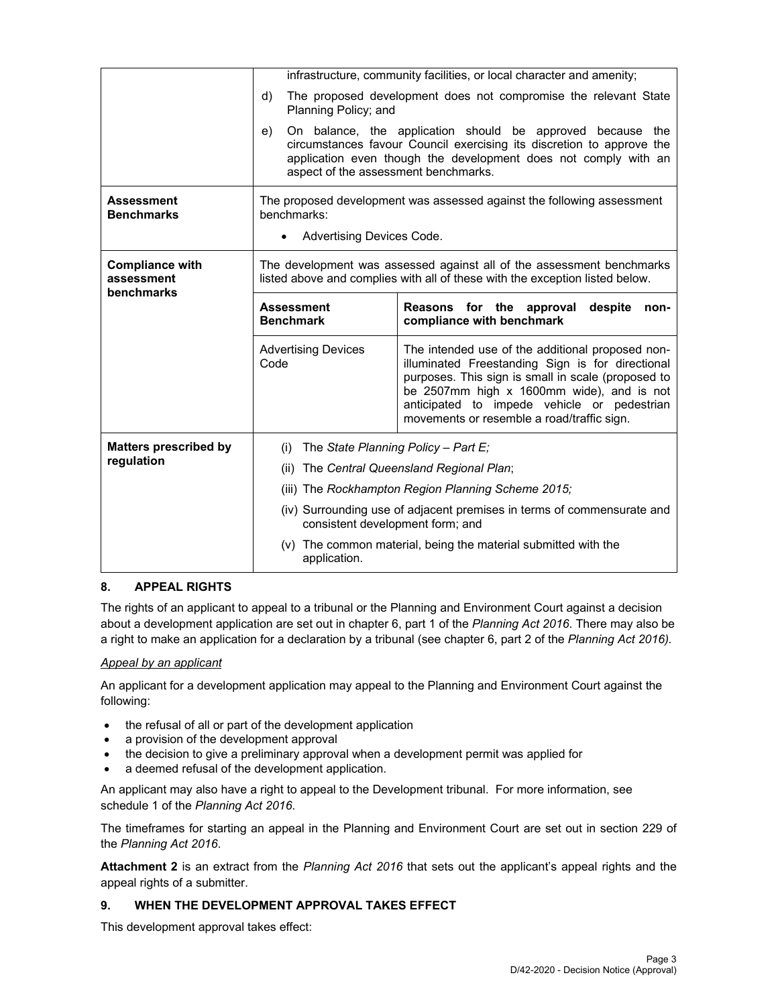|                                                    | infrastructure, community facilities, or local character and amenity;                                                                                 |                                                                                                                                                                                                                                                                                                      |  |  |  |
|----------------------------------------------------|-------------------------------------------------------------------------------------------------------------------------------------------------------|------------------------------------------------------------------------------------------------------------------------------------------------------------------------------------------------------------------------------------------------------------------------------------------------------|--|--|--|
|                                                    | The proposed development does not compromise the relevant State<br>d)<br>Planning Policy; and                                                         |                                                                                                                                                                                                                                                                                                      |  |  |  |
|                                                    | e)<br>aspect of the assessment benchmarks.                                                                                                            | On balance, the application should be approved because the<br>circumstances favour Council exercising its discretion to approve the<br>application even though the development does not comply with an                                                                                               |  |  |  |
| <b>Assessment</b><br><b>Benchmarks</b>             | benchmarks:                                                                                                                                           | The proposed development was assessed against the following assessment                                                                                                                                                                                                                               |  |  |  |
|                                                    | Advertising Devices Code.                                                                                                                             |                                                                                                                                                                                                                                                                                                      |  |  |  |
| <b>Compliance with</b><br>assessment<br>benchmarks | The development was assessed against all of the assessment benchmarks<br>listed above and complies with all of these with the exception listed below. |                                                                                                                                                                                                                                                                                                      |  |  |  |
|                                                    | <b>Assessment</b><br><b>Benchmark</b>                                                                                                                 | Reasons for the approval<br>despite<br>non-<br>compliance with benchmark                                                                                                                                                                                                                             |  |  |  |
|                                                    | <b>Advertising Devices</b><br>Code                                                                                                                    | The intended use of the additional proposed non-<br>illuminated Freestanding Sign is for directional<br>purposes. This sign is small in scale (proposed to<br>be 2507mm high x 1600mm wide), and is not<br>anticipated to impede vehicle or pedestrian<br>movements or resemble a road/traffic sign. |  |  |  |
| <b>Matters prescribed by</b>                       | The State Planning Policy - Part E;<br>(i)                                                                                                            |                                                                                                                                                                                                                                                                                                      |  |  |  |
| regulation                                         | The Central Queensland Regional Plan;<br>(ii)                                                                                                         |                                                                                                                                                                                                                                                                                                      |  |  |  |
|                                                    | (iii) The Rockhampton Region Planning Scheme 2015;                                                                                                    |                                                                                                                                                                                                                                                                                                      |  |  |  |
|                                                    | (iv) Surrounding use of adjacent premises in terms of commensurate and<br>consistent development form; and                                            |                                                                                                                                                                                                                                                                                                      |  |  |  |
|                                                    | (v) The common material, being the material submitted with the<br>application.                                                                        |                                                                                                                                                                                                                                                                                                      |  |  |  |

# **8. APPEAL RIGHTS**

The rights of an applicant to appeal to a tribunal or the Planning and Environment Court against a decision about a development application are set out in chapter 6, part 1 of the *Planning Act 2016*. There may also be a right to make an application for a declaration by a tribunal (see chapter 6, part 2 of the *Planning Act 2016).*

#### *Appeal by an applicant*

An applicant for a development application may appeal to the Planning and Environment Court against the following:

- the refusal of all or part of the development application
- a provision of the development approval
- the decision to give a preliminary approval when a development permit was applied for
- a deemed refusal of the development application.

An applicant may also have a right to appeal to the Development tribunal. For more information, see schedule 1 of the *Planning Act 2016*.

The timeframes for starting an appeal in the Planning and Environment Court are set out in section 229 of the *Planning Act 2016*.

**Attachment 2** is an extract from the *Planning Act 2016* that sets out the applicant's appeal rights and the appeal rights of a submitter.

#### **9. WHEN THE DEVELOPMENT APPROVAL TAKES EFFECT**

This development approval takes effect: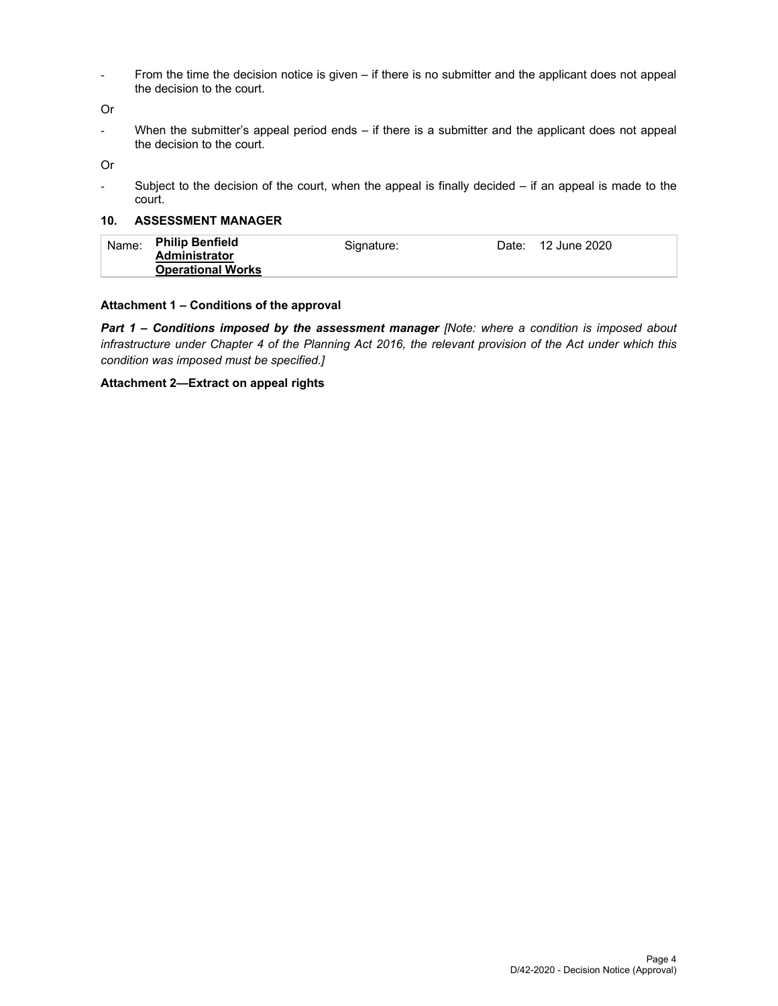- From the time the decision notice is given – if there is no submitter and the applicant does not appeal the decision to the court.

Or

- When the submitter's appeal period ends – if there is a submitter and the applicant does not appeal the decision to the court.

Or

- Subject to the decision of the court, when the appeal is finally decided – if an appeal is made to the court.

#### **10. ASSESSMENT MANAGER**

#### **Attachment 1 – Conditions of the approval**

*Part 1* **–** *Conditions imposed by the assessment manager [Note: where a condition is imposed about infrastructure under Chapter 4 of the Planning Act 2016, the relevant provision of the Act under which this condition was imposed must be specified.]*

#### **Attachment 2—Extract on appeal rights**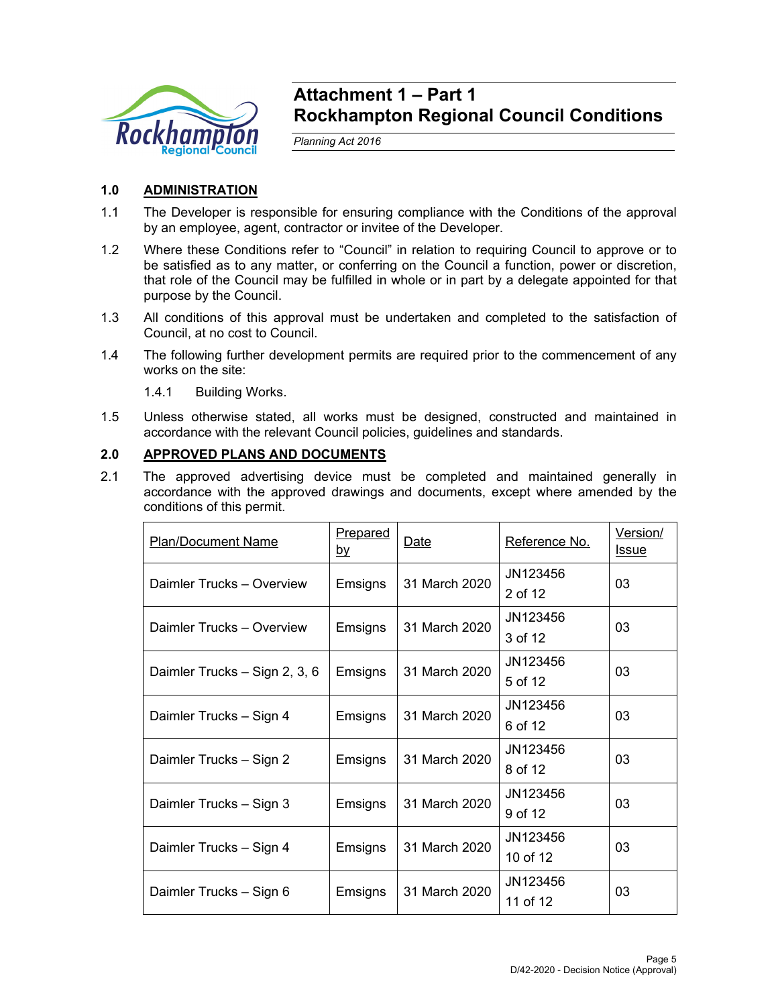

# **Attachment 1 – Part 1 Rockhampton Regional Council Conditions**

*Planning Act 2016* 

# **1.0 ADMINISTRATION**

- 1.1 The Developer is responsible for ensuring compliance with the Conditions of the approval by an employee, agent, contractor or invitee of the Developer.
- 1.2 Where these Conditions refer to "Council" in relation to requiring Council to approve or to be satisfied as to any matter, or conferring on the Council a function, power or discretion, that role of the Council may be fulfilled in whole or in part by a delegate appointed for that purpose by the Council.
- 1.3 All conditions of this approval must be undertaken and completed to the satisfaction of Council, at no cost to Council.
- 1.4 The following further development permits are required prior to the commencement of any works on the site:
	- 1.4.1 Building Works.
- 1.5 Unless otherwise stated, all works must be designed, constructed and maintained in accordance with the relevant Council policies, guidelines and standards.

# **2.0 APPROVED PLANS AND DOCUMENTS**

2.1 The approved advertising device must be completed and maintained generally in accordance with the approved drawings and documents, except where amended by the conditions of this permit.

| <b>Plan/Document Name</b>     | <u>Prepared</u><br><u>by</u> | Date          | Reference No.        | Version/<br><b>Issue</b> |
|-------------------------------|------------------------------|---------------|----------------------|--------------------------|
| Daimler Trucks - Overview     | Emsigns                      | 31 March 2020 | JN123456<br>2 of 12  | 03                       |
| Daimler Trucks - Overview     | Emsigns                      | 31 March 2020 | JN123456<br>3 of 12  | 03                       |
| Daimler Trucks - Sign 2, 3, 6 | Emsigns                      | 31 March 2020 | JN123456<br>5 of 12  | 03                       |
| Daimler Trucks - Sign 4       | Emsigns                      | 31 March 2020 | JN123456<br>6 of 12  | 03                       |
| Daimler Trucks - Sign 2       | Emsigns                      | 31 March 2020 | JN123456<br>8 of 12  | 03                       |
| Daimler Trucks - Sign 3       | Emsigns                      | 31 March 2020 | JN123456<br>9 of 12  | 03                       |
| Daimler Trucks - Sign 4       | Emsigns                      | 31 March 2020 | JN123456<br>10 of 12 | 03                       |
| Daimler Trucks - Sign 6       | Emsigns                      | 31 March 2020 | JN123456<br>11 of 12 | 03                       |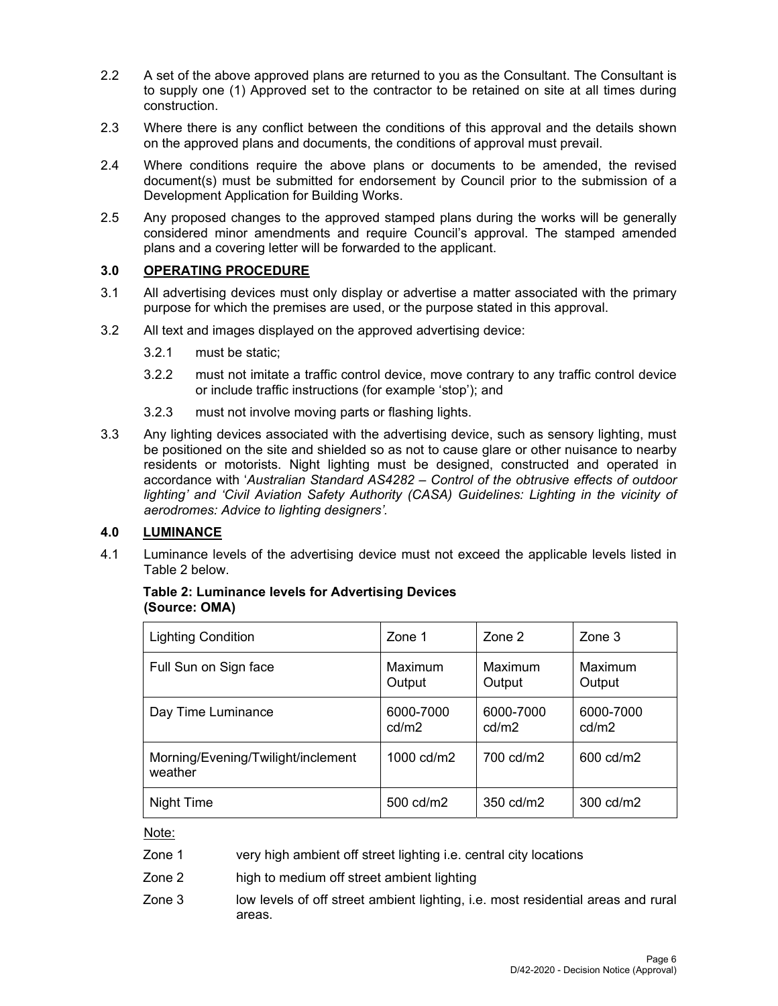- 2.2 A set of the above approved plans are returned to you as the Consultant. The Consultant is to supply one (1) Approved set to the contractor to be retained on site at all times during construction.
- 2.3 Where there is any conflict between the conditions of this approval and the details shown on the approved plans and documents, the conditions of approval must prevail.
- 2.4 Where conditions require the above plans or documents to be amended, the revised document(s) must be submitted for endorsement by Council prior to the submission of a Development Application for Building Works.
- 2.5 Any proposed changes to the approved stamped plans during the works will be generally considered minor amendments and require Council's approval. The stamped amended plans and a covering letter will be forwarded to the applicant.

### **3.0 OPERATING PROCEDURE**

- 3.1 All advertising devices must only display or advertise a matter associated with the primary purpose for which the premises are used, or the purpose stated in this approval.
- 3.2 All text and images displayed on the approved advertising device:
	- 3.2.1 must be static;
	- 3.2.2 must not imitate a traffic control device, move contrary to any traffic control device or include traffic instructions (for example 'stop'); and
	- 3.2.3 must not involve moving parts or flashing lights.
- 3.3 Any lighting devices associated with the advertising device, such as sensory lighting, must be positioned on the site and shielded so as not to cause glare or other nuisance to nearby residents or motorists. Night lighting must be designed, constructed and operated in accordance with '*Australian Standard AS4282 – Control of the obtrusive effects of outdoor*  lighting' and 'Civil Aviation Safety Authority (CASA) Guidelines: Lighting in the vicinity of *aerodromes: Advice to lighting designers'.*

#### **4.0 LUMINANCE**

4.1 Luminance levels of the advertising device must not exceed the applicable levels listed in Table 2 below.

| (Source: OMA) |                                    |                    |                    |                    |  |
|---------------|------------------------------------|--------------------|--------------------|--------------------|--|
|               | <b>Lighting Condition</b>          | Zone 1             | Zone 2             | Zone 3             |  |
|               | Full Sun on Sign face              | Maximum<br>Output  | Maximum<br>Output  | Maximum<br>Output  |  |
|               | Day Time Luminance                 | 6000-7000<br>cd/m2 | 6000-7000<br>cd/m2 | 6000-7000<br>cd/m2 |  |
|               | Morning/Evening/Twilight/inclement | 1000 cd/m2         | 700 cd/m2          | 600 cd/m2          |  |

# **Table 2: Luminance levels for Advertising Devices**

Note:

weather

- Zone 1 very high ambient off street lighting i.e. central city locations
- Zone 2 high to medium off street ambient lighting
- Zone 3 low levels of off street ambient lighting, i.e. most residential areas and rural areas.

Night Time  $\vert$  500 cd/m2  $\vert$  350 cd/m2  $\vert$  300 cd/m2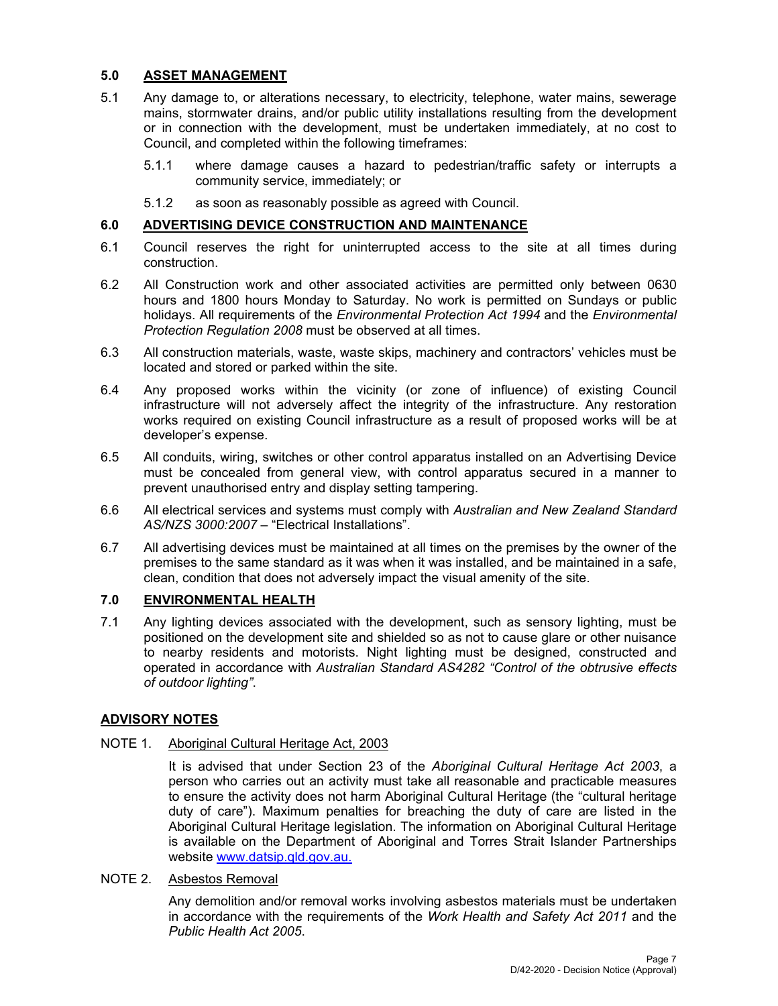# **5.0 ASSET MANAGEMENT**

- 5.1 Any damage to, or alterations necessary, to electricity, telephone, water mains, sewerage mains, stormwater drains, and/or public utility installations resulting from the development or in connection with the development, must be undertaken immediately, at no cost to Council, and completed within the following timeframes:
	- 5.1.1 where damage causes a hazard to pedestrian/traffic safety or interrupts a community service, immediately; or
	- 5.1.2 as soon as reasonably possible as agreed with Council.

### **6.0 ADVERTISING DEVICE CONSTRUCTION AND MAINTENANCE**

- 6.1 Council reserves the right for uninterrupted access to the site at all times during construction.
- 6.2 All Construction work and other associated activities are permitted only between 0630 hours and 1800 hours Monday to Saturday. No work is permitted on Sundays or public holidays. All requirements of the *Environmental Protection Act 1994* and the *Environmental Protection Regulation 2008* must be observed at all times.
- 6.3 All construction materials, waste, waste skips, machinery and contractors' vehicles must be located and stored or parked within the site.
- 6.4 Any proposed works within the vicinity (or zone of influence) of existing Council infrastructure will not adversely affect the integrity of the infrastructure. Any restoration works required on existing Council infrastructure as a result of proposed works will be at developer's expense.
- 6.5 All conduits, wiring, switches or other control apparatus installed on an Advertising Device must be concealed from general view, with control apparatus secured in a manner to prevent unauthorised entry and display setting tampering.
- 6.6 All electrical services and systems must comply with *Australian and New Zealand Standard AS/NZS 3000:2007* – "Electrical Installations".
- 6.7 All advertising devices must be maintained at all times on the premises by the owner of the premises to the same standard as it was when it was installed, and be maintained in a safe, clean, condition that does not adversely impact the visual amenity of the site.

# **7.0 ENVIRONMENTAL HEALTH**

7.1 Any lighting devices associated with the development, such as sensory lighting, must be positioned on the development site and shielded so as not to cause glare or other nuisance to nearby residents and motorists. Night lighting must be designed, constructed and operated in accordance with *Australian Standard AS4282 "Control of the obtrusive effects of outdoor lighting"*.

# **ADVISORY NOTES**

#### NOTE 1. Aboriginal Cultural Heritage Act, 2003

It is advised that under Section 23 of the *Aboriginal Cultural Heritage Act 2003*, a person who carries out an activity must take all reasonable and practicable measures to ensure the activity does not harm Aboriginal Cultural Heritage (the "cultural heritage duty of care"). Maximum penalties for breaching the duty of care are listed in the Aboriginal Cultural Heritage legislation. The information on Aboriginal Cultural Heritage is available on the Department of Aboriginal and Torres Strait Islander Partnerships website www.datsip.qld.gov.au.

# NOTE 2. Asbestos Removal

Any demolition and/or removal works involving asbestos materials must be undertaken in accordance with the requirements of the *Work Health and Safety Act 2011* and the *Public Health Act 2005*.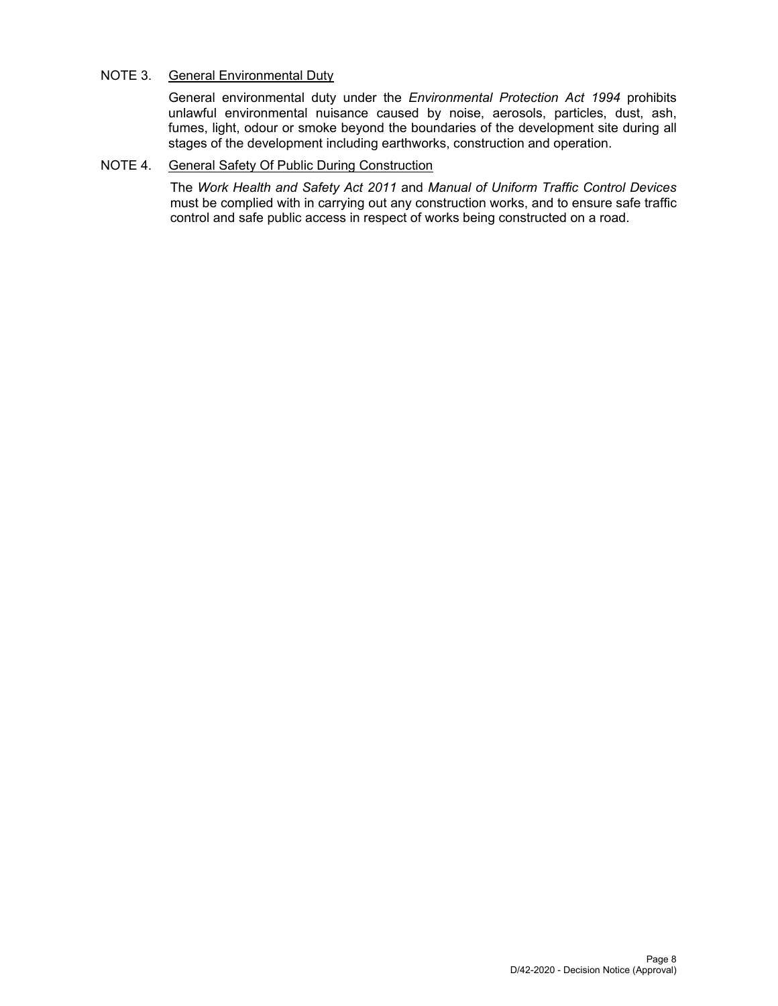### NOTE 3. General Environmental Duty

General environmental duty under the *Environmental Protection Act 1994* prohibits unlawful environmental nuisance caused by noise, aerosols, particles, dust, ash, fumes, light, odour or smoke beyond the boundaries of the development site during all stages of the development including earthworks, construction and operation.

#### NOTE 4. General Safety Of Public During Construction

The *Work Health and Safety Act 2011* and *Manual of Uniform Traffic Control Devices* must be complied with in carrying out any construction works, and to ensure safe traffic control and safe public access in respect of works being constructed on a road.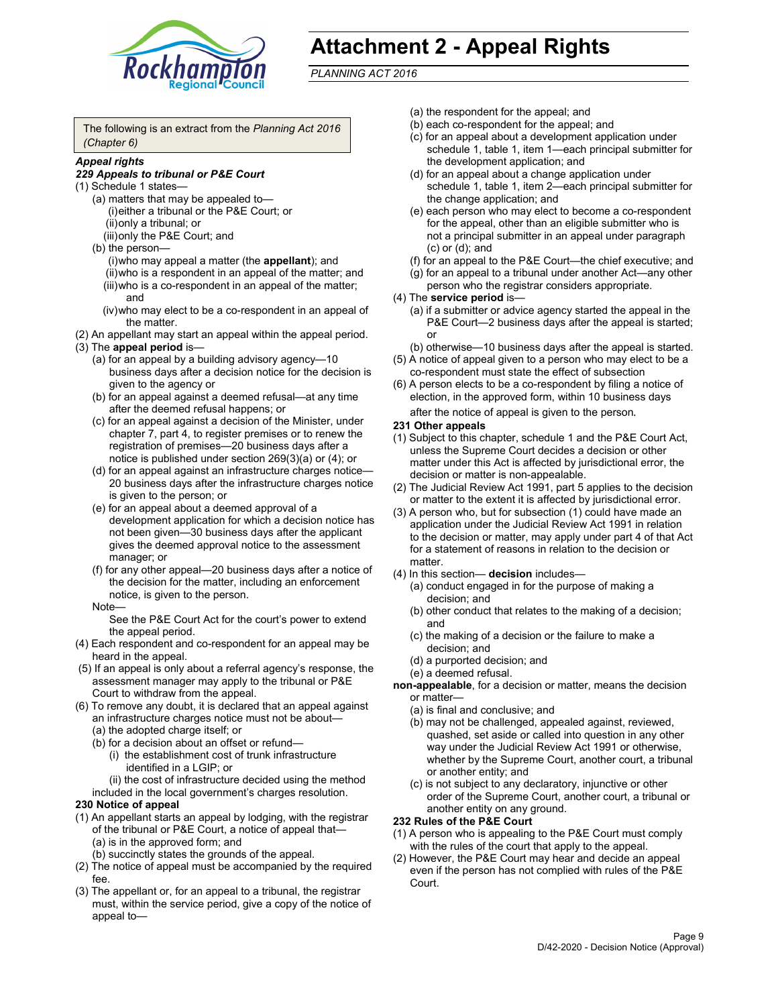

# **Attachment 2 - Appeal Rights**

*PLANNING ACT 2016*

The following is an extract from the *Planning Act 2016 (Chapter 6)*

#### *Appeal rights*

#### *229 Appeals to tribunal or P&E Court*

- (1) Schedule 1 states—
	- (a) matters that may be appealed to— (i) either a tribunal or the P&E Court; or (ii) only a tribunal; or (iii) only the P&E Court; and
	- (b) the person—
		- (i) who may appeal a matter (the **appellant**); and
		- (ii) who is a respondent in an appeal of the matter; and (iii) who is a co-respondent in an appeal of the matter; and
		- (iv) who may elect to be a co-respondent in an appeal of the matter.
- (2) An appellant may start an appeal within the appeal period.
- (3) The **appeal period** is—
	- (a) for an appeal by a building advisory agency—10 business days after a decision notice for the decision is given to the agency or
	- (b) for an appeal against a deemed refusal—at any time after the deemed refusal happens; or
	- (c) for an appeal against a decision of the Minister, under chapter 7, part 4, to register premises or to renew the registration of premises—20 business days after a notice is published under section 269(3)(a) or (4); or
	- (d) for an appeal against an infrastructure charges notice— 20 business days after the infrastructure charges notice is given to the person; or
	- (e) for an appeal about a deemed approval of a development application for which a decision notice has not been given—30 business days after the applicant gives the deemed approval notice to the assessment manager; or
	- (f) for any other appeal—20 business days after a notice of the decision for the matter, including an enforcement notice, is given to the person.

#### Note—

See the P&E Court Act for the court's power to extend the appeal period.

- (4) Each respondent and co-respondent for an appeal may be heard in the appeal.
- (5) If an appeal is only about a referral agency's response, the assessment manager may apply to the tribunal or P&E Court to withdraw from the appeal.
- (6) To remove any doubt, it is declared that an appeal against an infrastructure charges notice must not be about— (a) the adopted charge itself; or
	- (b) for a decision about an offset or refund—
		- (i) the establishment cost of trunk infrastructure identified in a LGIP; or
		- (ii) the cost of infrastructure decided using the method
	- included in the local government's charges resolution.

#### **230 Notice of appeal**

- (1) An appellant starts an appeal by lodging, with the registrar of the tribunal or P&E Court, a notice of appeal that— (a) is in the approved form; and
	- (b) succinctly states the grounds of the appeal.
- (2) The notice of appeal must be accompanied by the required fee.
- (3) The appellant or, for an appeal to a tribunal, the registrar must, within the service period, give a copy of the notice of appeal to—
- (a) the respondent for the appeal; and
- (b) each co-respondent for the appeal; and
- (c) for an appeal about a development application under schedule 1, table 1, item 1—each principal submitter for the development application; and
- (d) for an appeal about a change application under schedule 1, table 1, item 2—each principal submitter for the change application; and
- (e) each person who may elect to become a co-respondent for the appeal, other than an eligible submitter who is not a principal submitter in an appeal under paragraph (c) or (d); and
- (f) for an appeal to the P&E Court—the chief executive; and
- (g) for an appeal to a tribunal under another Act—any other person who the registrar considers appropriate.
- (4) The **service period** is—
	- (a) if a submitter or advice agency started the appeal in the P&E Court-2 business days after the appeal is started; or
	- (b) otherwise—10 business days after the appeal is started.
- (5) A notice of appeal given to a person who may elect to be a co-respondent must state the effect of subsection
- (6) A person elects to be a co-respondent by filing a notice of election, in the approved form, within 10 business days
	- after the notice of appeal is given to the person*.*
- **231 Other appeals**
- (1) Subject to this chapter, schedule 1 and the P&E Court Act, unless the Supreme Court decides a decision or other matter under this Act is affected by jurisdictional error, the decision or matter is non-appealable.
- (2) The Judicial Review Act 1991, part 5 applies to the decision or matter to the extent it is affected by jurisdictional error.
- (3) A person who, but for subsection (1) could have made an application under the Judicial Review Act 1991 in relation to the decision or matter, may apply under part 4 of that Act for a statement of reasons in relation to the decision or matter.
- (4) In this section— **decision** includes—
	- (a) conduct engaged in for the purpose of making a decision; and
	- (b) other conduct that relates to the making of a decision; and
	- (c) the making of a decision or the failure to make a decision; and
	- (d) a purported decision; and
	- (e) a deemed refusal.

**non-appealable**, for a decision or matter, means the decision or matter—

- (a) is final and conclusive; and
- (b) may not be challenged, appealed against, reviewed, quashed, set aside or called into question in any other way under the Judicial Review Act 1991 or otherwise, whether by the Supreme Court, another court, a tribunal or another entity; and
- (c) is not subject to any declaratory, injunctive or other order of the Supreme Court, another court, a tribunal or another entity on any ground.

#### **232 Rules of the P&E Court**

- (1) A person who is appealing to the P&E Court must comply with the rules of the court that apply to the appeal.
- (2) However, the P&E Court may hear and decide an appeal even if the person has not complied with rules of the P&E Court.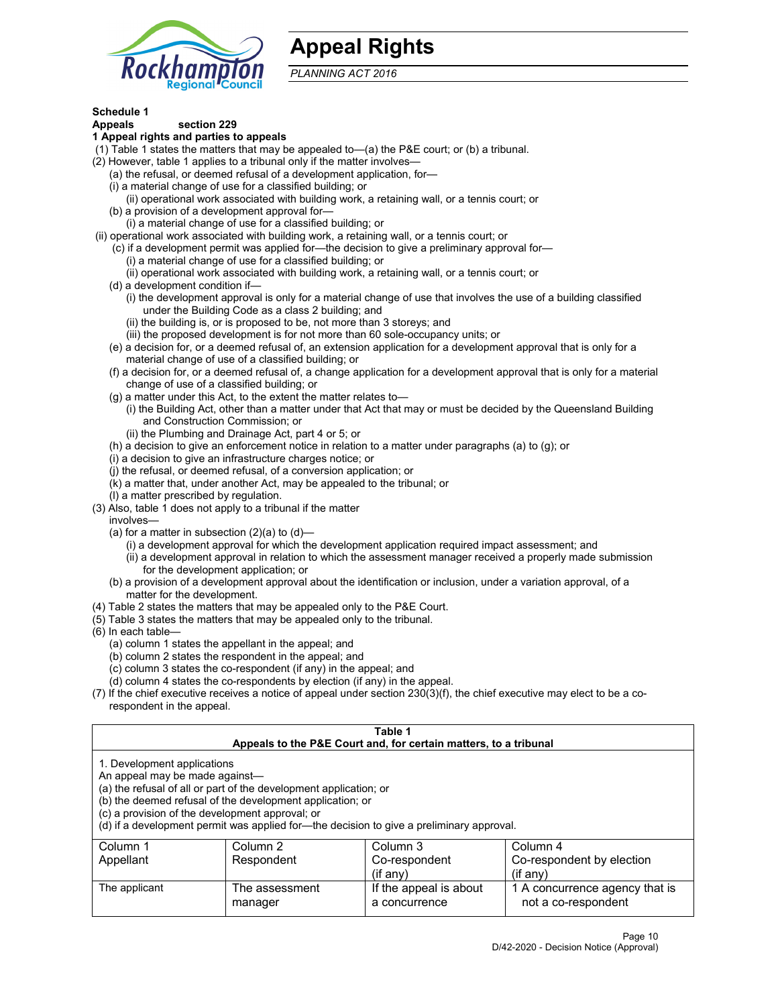

# **Appeal Rights**

*PLANNING ACT 2016*

# **Schedule 1**

# **Appeals section 229**

- **1 Appeal rights and parties to appeals**
- (1) Table 1 states the matters that may be appealed to—(a) the P&E court; or (b) a tribunal.
- (2) However, table 1 applies to a tribunal only if the matter involves—
	- (a) the refusal, or deemed refusal of a development application, for—
	- (i) a material change of use for a classified building; or
	- (ii) operational work associated with building work, a retaining wall, or a tennis court; or
	- (b) a provision of a development approval for—
	- (i) a material change of use for a classified building; or
- (ii) operational work associated with building work, a retaining wall, or a tennis court; or
	- (c) if a development permit was applied for—the decision to give a preliminary approval for—
		- (i) a material change of use for a classified building; or
	- (ii) operational work associated with building work, a retaining wall, or a tennis court; or
	- (d) a development condition if—
		- (i) the development approval is only for a material change of use that involves the use of a building classified under the Building Code as a class 2 building; and
		- (ii) the building is, or is proposed to be, not more than 3 storeys; and
		- (iii) the proposed development is for not more than 60 sole-occupancy units; or
	- (e) a decision for, or a deemed refusal of, an extension application for a development approval that is only for a material change of use of a classified building; or
	- (f) a decision for, or a deemed refusal of, a change application for a development approval that is only for a material change of use of a classified building; or
	- (g) a matter under this Act, to the extent the matter relates to—
		- (i) the Building Act, other than a matter under that Act that may or must be decided by the Queensland Building and Construction Commission; or
		- (ii) the Plumbing and Drainage Act, part 4 or 5; or
	- (h) a decision to give an enforcement notice in relation to a matter under paragraphs (a) to (g); or
	- (i) a decision to give an infrastructure charges notice; or
	- (j) the refusal, or deemed refusal, of a conversion application; or
	- (k) a matter that, under another Act, may be appealed to the tribunal; or
	- (l) a matter prescribed by regulation.
- (3) Also, table 1 does not apply to a tribunal if the matter
	- involves—
		- (a) for a matter in subsection  $(2)(a)$  to  $(d)$ 
			- (i) a development approval for which the development application required impact assessment; and
			- (ii) a development approval in relation to which the assessment manager received a properly made submission for the development application; or
	- (b) a provision of a development approval about the identification or inclusion, under a variation approval, of a matter for the development.
- (4) Table 2 states the matters that may be appealed only to the P&E Court.
- (5) Table 3 states the matters that may be appealed only to the tribunal.
- (6) In each table—
	- (a) column 1 states the appellant in the appeal; and
	- (b) column 2 states the respondent in the appeal; and
	- (c) column 3 states the co-respondent (if any) in the appeal; and
	- (d) column 4 states the co-respondents by election (if any) in the appeal.
- (7) If the chief executive receives a notice of appeal under section 230(3)(f), the chief executive may elect to be a corespondent in the appeal.

| Table 1<br>Appeals to the P&E Court and, for certain matters, to a tribunal                                                                                                                                                                                                                                                                    |                           |                                         |                                                       |  |
|------------------------------------------------------------------------------------------------------------------------------------------------------------------------------------------------------------------------------------------------------------------------------------------------------------------------------------------------|---------------------------|-----------------------------------------|-------------------------------------------------------|--|
| 1. Development applications<br>An appeal may be made against-<br>(a) the refusal of all or part of the development application; or<br>(b) the deemed refusal of the development application; or<br>(c) a provision of the development approval; or<br>(d) if a development permit was applied for-the decision to give a preliminary approval. |                           |                                         |                                                       |  |
| Column 1                                                                                                                                                                                                                                                                                                                                       | Column 2                  | Column 3                                | Column 4                                              |  |
| Appellant                                                                                                                                                                                                                                                                                                                                      | Respondent                | Co-respondent<br>$($ if anv $)$         | Co-respondent by election<br>$(i$ f anv $)$           |  |
| The applicant                                                                                                                                                                                                                                                                                                                                  | The assessment<br>manager | If the appeal is about<br>a concurrence | 1 A concurrence agency that is<br>not a co-respondent |  |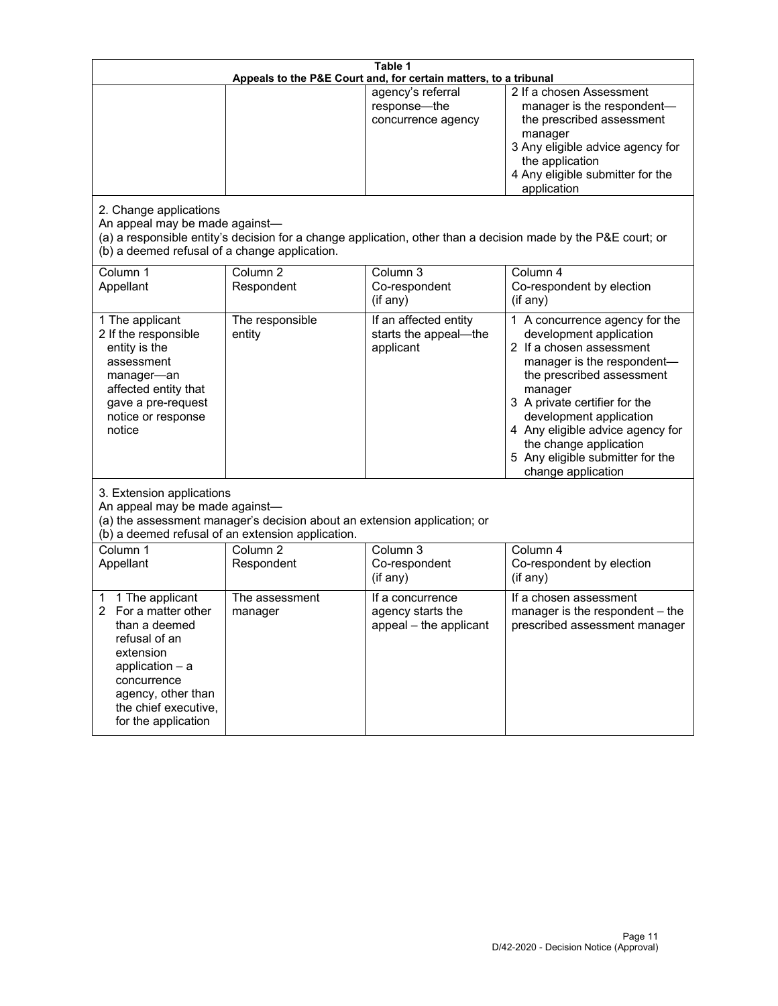| Table 1<br>Appeals to the P&E Court and, for certain matters, to a tribunal                                                                                                                        |                                     |                                                                 |                                                                                                                                                                                                                                                                                                                                                 |  |
|----------------------------------------------------------------------------------------------------------------------------------------------------------------------------------------------------|-------------------------------------|-----------------------------------------------------------------|-------------------------------------------------------------------------------------------------------------------------------------------------------------------------------------------------------------------------------------------------------------------------------------------------------------------------------------------------|--|
| 2. Change applications<br>An appeal may be made against-                                                                                                                                           |                                     | agency's referral<br>response-the<br>concurrence agency         | 2 If a chosen Assessment<br>manager is the respondent-<br>the prescribed assessment<br>manager<br>3 Any eligible advice agency for<br>the application<br>4 Any eligible submitter for the<br>application<br>(a) a responsible entity's decision for a change application, other than a decision made by the P&E court; or                       |  |
| (b) a deemed refusal of a change application.<br>Column 1<br>Appellant                                                                                                                             | Column $\overline{2}$<br>Respondent | Column 3<br>Co-respondent<br>(if any)                           | Column 4<br>Co-respondent by election<br>(i f any)                                                                                                                                                                                                                                                                                              |  |
| 1 The applicant<br>2 If the responsible<br>entity is the<br>assessment<br>manager-an<br>affected entity that<br>gave a pre-request<br>notice or response<br>notice                                 | The responsible<br>entity           | If an affected entity<br>starts the appeal-the<br>applicant     | 1 A concurrence agency for the<br>development application<br>2 If a chosen assessment<br>manager is the respondent-<br>the prescribed assessment<br>manager<br>3 A private certifier for the<br>development application<br>4 Any eligible advice agency for<br>the change application<br>5 Any eligible submitter for the<br>change application |  |
| 3. Extension applications<br>An appeal may be made against-<br>(a) the assessment manager's decision about an extension application; or<br>(b) a deemed refusal of an extension application.       |                                     |                                                                 |                                                                                                                                                                                                                                                                                                                                                 |  |
| Column 1<br>Appellant                                                                                                                                                                              | Column <sub>2</sub><br>Respondent   | Column 3<br>Co-respondent<br>(if any)                           | Column 4<br>Co-respondent by election<br>(if any)                                                                                                                                                                                                                                                                                               |  |
| 1 The applicant<br>1<br>For a matter other<br>than a deemed<br>refusal of an<br>extension<br>application $-$ a<br>concurrence<br>agency, other than<br>the chief executive,<br>for the application | The assessment<br>manager           | If a concurrence<br>agency starts the<br>appeal - the applicant | If a chosen assessment<br>manager is the respondent - the<br>prescribed assessment manager                                                                                                                                                                                                                                                      |  |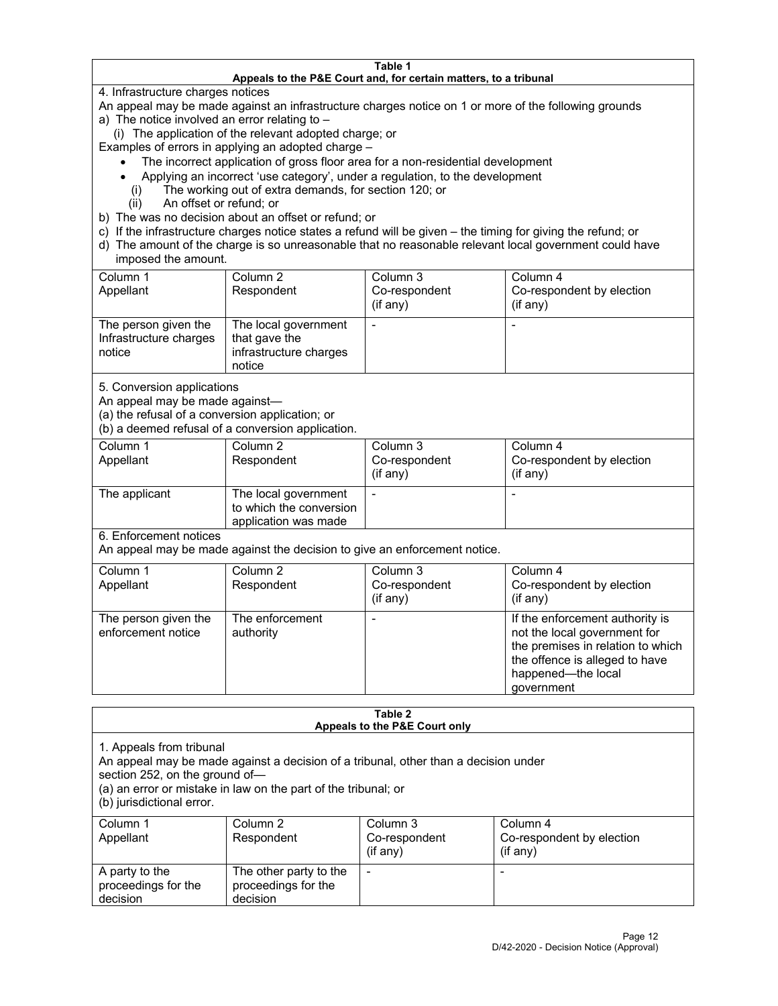#### **Table 1 Appeals to the P&E Court and, for certain matters, to a tribunal**

4. Infrastructure charges notices

An appeal may be made against an infrastructure charges notice on 1 or more of the following grounds

- a) The notice involved an error relating to
	- (i) The application of the relevant adopted charge; or

Examples of errors in applying an adopted charge –

- The incorrect application of gross floor area for a non-residential development
- Applying an incorrect 'use category', under a regulation, to the development
- (i) The working out of extra demands, for section 120; or
- (ii) An offset or refund; or
- b) The was no decision about an offset or refund; or
- c) If the infrastructure charges notice states a refund will be given the timing for giving the refund; or
- d) The amount of the charge is so unreasonable that no reasonable relevant local government could have imposed the amount.

| Column 1<br>Appellant                                    | Column 2<br>Respondent                                                    | Column 3<br>Co-respondent<br>(if any) | Column 4<br>Co-respondent by election<br>(if any) |
|----------------------------------------------------------|---------------------------------------------------------------------------|---------------------------------------|---------------------------------------------------|
| The person given the<br>Infrastructure charges<br>notice | The local government<br>that gave the<br>infrastructure charges<br>notice |                                       |                                                   |

5. Conversion applications

An appeal may be made against—

(a) the refusal of a conversion application; or

(b) a deemed refusal of a conversion application.

| Column 1      | Column 2                | Column 3       | Column 4                  |
|---------------|-------------------------|----------------|---------------------------|
| Appellant     | Respondent              | Co-respondent  | Co-respondent by election |
|               |                         | $($ if any $)$ | $($ if any $)$            |
|               |                         |                |                           |
| The applicant | The local government    |                |                           |
|               | to which the conversion |                |                           |
|               | application was made    |                |                           |

6. Enforcement notices

An appeal may be made against the decision to give an enforcement notice.

| Column 1<br>Appellant                      | Column 2<br>Respondent       | Column 3<br>Co-respondent<br>(if any) | Column 4<br>Co-respondent by election<br>(i f any)                                                                                                                         |
|--------------------------------------------|------------------------------|---------------------------------------|----------------------------------------------------------------------------------------------------------------------------------------------------------------------------|
| The person given the<br>enforcement notice | The enforcement<br>authority |                                       | If the enforcement authority is<br>not the local government for<br>the premises in relation to which<br>the offence is alleged to have<br>happened-the local<br>government |

#### **Table 2 Appeals to the P&E Court only**

1. Appeals from tribunal

An appeal may be made against a decision of a tribunal, other than a decision under

section 252, on the ground of—

(a) an error or mistake in law on the part of the tribunal; or

(b) jurisdictional error.

| Column 1<br>Appellant                             | Column 2<br>Respondent                                    | Column 3<br>Co-respondent<br>$(if$ any) | Column 4<br>Co-respondent by election<br>$(if$ any) |
|---------------------------------------------------|-----------------------------------------------------------|-----------------------------------------|-----------------------------------------------------|
| A party to the<br>proceedings for the<br>decision | The other party to the<br>proceedings for the<br>decision | $\overline{\phantom{a}}$                |                                                     |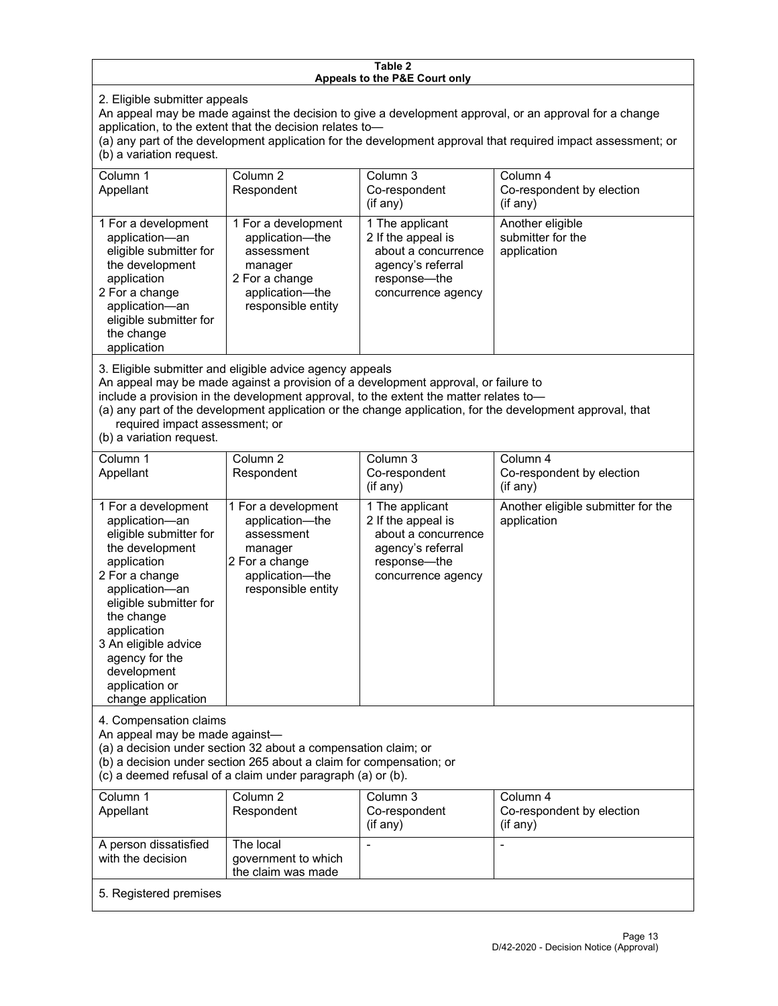#### **Table 2 Appeals to the P&E Court only**

2. Eligible submitter appeals

An appeal may be made against the decision to give a development approval, or an approval for a change application, to the extent that the decision relates to—

(a) any part of the development application for the development approval that required impact assessment; or (b) a variation request.

| Column 1<br>Appellant                                                                                                                                                                        | Column 2<br>Respondent                                                                                                     | Column 3<br>Co-respondent<br>(if any)                                                                                   | Column 4<br>Co-respondent by election<br>(if any)    |
|----------------------------------------------------------------------------------------------------------------------------------------------------------------------------------------------|----------------------------------------------------------------------------------------------------------------------------|-------------------------------------------------------------------------------------------------------------------------|------------------------------------------------------|
| 1 For a development<br>application-an<br>eligible submitter for<br>the development<br>application<br>2 For a change<br>application-an<br>eligible submitter for<br>the change<br>application | 1 For a development<br>application—the<br>assessment<br>manager<br>2 For a change<br>application-the<br>responsible entity | 1 The applicant<br>2 If the appeal is<br>about a concurrence<br>agency's referral<br>response—the<br>concurrence agency | Another eligible<br>submitter for the<br>application |

3. Eligible submitter and eligible advice agency appeals

An appeal may be made against a provision of a development approval, or failure to

include a provision in the development approval, to the extent the matter relates to—

(a) any part of the development application or the change application, for the development approval, that required impact assessment; or

(b) a variation request.

| Column 1<br>Appellant                                                                                                                                                                                                                                                                         | Column <sub>2</sub><br>Respondent                                                                                          | Column <sub>3</sub><br>Co-respondent<br>(if any)                                                                        | Column 4<br>Co-respondent by election<br>(if any) |
|-----------------------------------------------------------------------------------------------------------------------------------------------------------------------------------------------------------------------------------------------------------------------------------------------|----------------------------------------------------------------------------------------------------------------------------|-------------------------------------------------------------------------------------------------------------------------|---------------------------------------------------|
| 1 For a development<br>application-an<br>eligible submitter for<br>the development<br>application<br>2 For a change<br>application-an<br>eligible submitter for<br>the change<br>application<br>3 An eligible advice<br>agency for the<br>development<br>application or<br>change application | 1 For a development<br>application-the<br>assessment<br>manager<br>2 For a change<br>application-the<br>responsible entity | 1 The applicant<br>2 If the appeal is<br>about a concurrence<br>agency's referral<br>response-the<br>concurrence agency | Another eligible submitter for the<br>application |
| 4. Compensation claims<br>An appeal may be made against-<br>(a) a decision under section 32 about a compensation claim; or<br>(b) a decision under section 265 about a claim for compensation; or<br>(c) a deemed refusal of a claim under paragraph (a) or (b).                              |                                                                                                                            |                                                                                                                         |                                                   |
| Column <sub>1</sub><br>Appellant                                                                                                                                                                                                                                                              | Column <sub>2</sub><br>Respondent                                                                                          | Column <sub>3</sub><br>Co-respondent<br>(if any)                                                                        | Column 4<br>Co-respondent by election<br>(if any) |
| A person dissatisfied<br>with the decision                                                                                                                                                                                                                                                    | The local<br>government to which<br>the claim was made                                                                     | L,                                                                                                                      |                                                   |
| 5. Registered premises                                                                                                                                                                                                                                                                        |                                                                                                                            |                                                                                                                         |                                                   |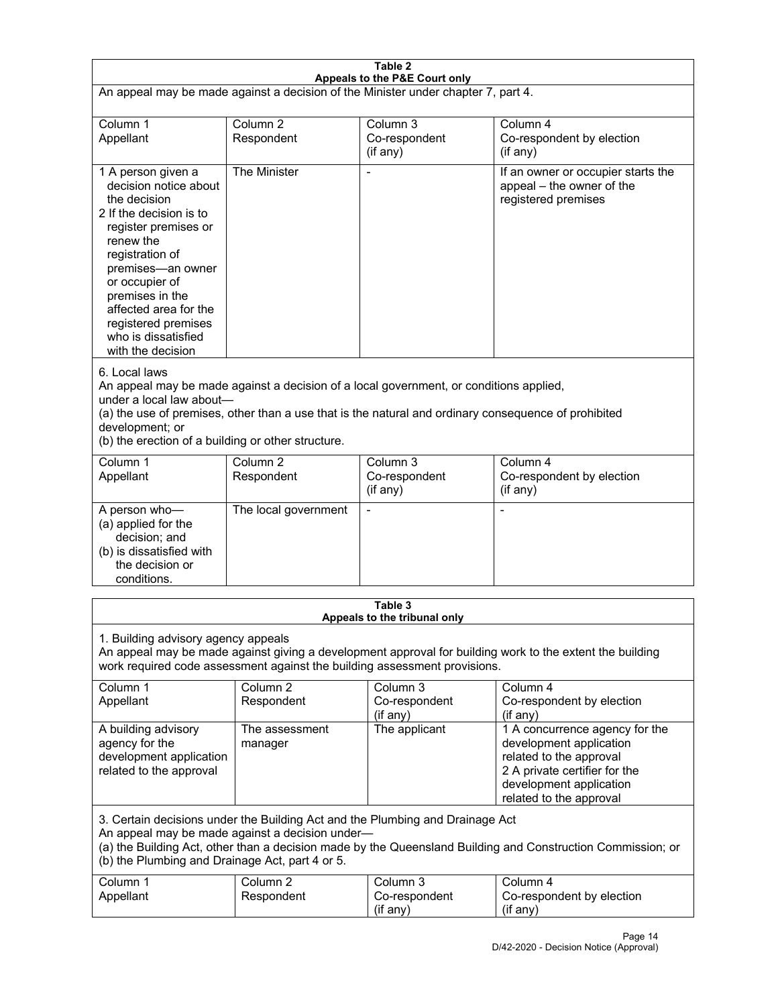| Table 2<br>Appeals to the P&E Court only                                                                                                                                                                                                                                                             |                                                                                                                                                                                                                                                                                  |                                                  |                                                                                                                                                                             |  |  |
|------------------------------------------------------------------------------------------------------------------------------------------------------------------------------------------------------------------------------------------------------------------------------------------------------|----------------------------------------------------------------------------------------------------------------------------------------------------------------------------------------------------------------------------------------------------------------------------------|--------------------------------------------------|-----------------------------------------------------------------------------------------------------------------------------------------------------------------------------|--|--|
| An appeal may be made against a decision of the Minister under chapter 7, part 4.                                                                                                                                                                                                                    |                                                                                                                                                                                                                                                                                  |                                                  |                                                                                                                                                                             |  |  |
| Column 1<br>Appellant                                                                                                                                                                                                                                                                                | Column <sub>2</sub><br>Respondent                                                                                                                                                                                                                                                | Column <sub>3</sub><br>Co-respondent<br>(if any) | Column 4<br>Co-respondent by election<br>(if any)                                                                                                                           |  |  |
| 1 A person given a<br>decision notice about<br>the decision<br>2 If the decision is to<br>register premises or<br>renew the<br>registration of<br>premises-an owner<br>or occupier of<br>premises in the<br>affected area for the<br>registered premises<br>who is dissatisfied<br>with the decision | The Minister                                                                                                                                                                                                                                                                     | Ĭ.                                               | If an owner or occupier starts the<br>appeal - the owner of the<br>registered premises                                                                                      |  |  |
| 6. Local laws<br>development; or                                                                                                                                                                                                                                                                     | An appeal may be made against a decision of a local government, or conditions applied,<br>under a local law about-<br>(a) the use of premises, other than a use that is the natural and ordinary consequence of prohibited<br>(b) the erection of a building or other structure. |                                                  |                                                                                                                                                                             |  |  |
| Column 1<br>Appellant                                                                                                                                                                                                                                                                                | Column <sub>2</sub><br>Respondent                                                                                                                                                                                                                                                | Column <sub>3</sub><br>Co-respondent<br>(if any) | Column 4<br>Co-respondent by election<br>(if any)                                                                                                                           |  |  |
| A person who-<br>(a) applied for the<br>decision; and<br>(b) is dissatisfied with<br>the decision or<br>conditions.                                                                                                                                                                                  | The local government                                                                                                                                                                                                                                                             | L,                                               | $\overline{a}$                                                                                                                                                              |  |  |
|                                                                                                                                                                                                                                                                                                      |                                                                                                                                                                                                                                                                                  | Table 3<br>Appeals to the tribunal only          |                                                                                                                                                                             |  |  |
| 1. Building advisory agency appeals<br>An appeal may be made against giving a development approval for building work to the extent the building<br>work required code assessment against the building assessment provisions.                                                                         |                                                                                                                                                                                                                                                                                  |                                                  |                                                                                                                                                                             |  |  |
| Column 1<br>Appellant                                                                                                                                                                                                                                                                                | Column <sub>2</sub><br>Respondent                                                                                                                                                                                                                                                | Column 3<br>Co-respondent<br>(if any)            | Column 4<br>Co-respondent by election<br>(if any)                                                                                                                           |  |  |
| A building advisory<br>agency for the<br>development application<br>related to the approval                                                                                                                                                                                                          | The assessment<br>manager                                                                                                                                                                                                                                                        | The applicant                                    | 1 A concurrence agency for the<br>development application<br>related to the approval<br>2 A private certifier for the<br>development application<br>related to the approval |  |  |
| 3. Certain decisions under the Building Act and the Plumbing and Drainage Act<br>An appeal may be made against a decision under-<br>(a) the Building Act, other than a decision made by the Queensland Building and Construction Commission; or<br>(b) the Plumbing and Drainage Act, part 4 or 5.   |                                                                                                                                                                                                                                                                                  |                                                  |                                                                                                                                                                             |  |  |
| Column 1<br>Appellant                                                                                                                                                                                                                                                                                | Column <sub>2</sub><br>Respondent                                                                                                                                                                                                                                                | Column 3<br>Co-respondent<br>(if any)            | Column 4<br>Co-respondent by election<br>(if any)                                                                                                                           |  |  |